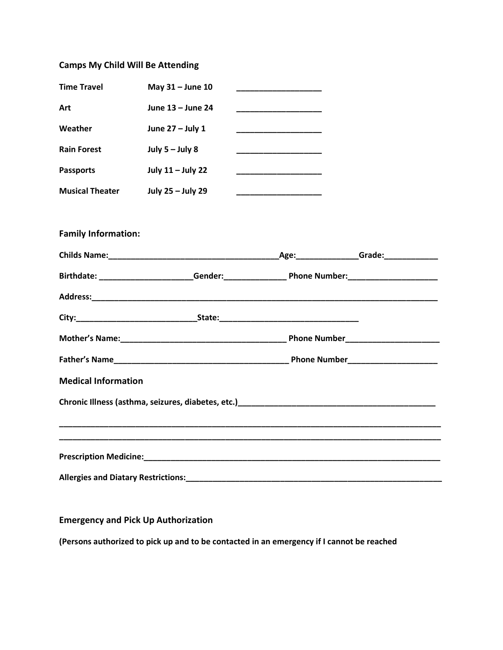## Camps My Child Will Be Attending

| <b>Time Travel</b>         | May 31 - June 10  |                                                                                                                 |  |
|----------------------------|-------------------|-----------------------------------------------------------------------------------------------------------------|--|
| Art                        | June 13 - June 24 |                                                                                                                 |  |
| Weather                    | June 27 - July 1  |                                                                                                                 |  |
| <b>Rain Forest</b>         | July $5 -$ July 8 |                                                                                                                 |  |
| <b>Passports</b>           | July 11 - July 22 |                                                                                                                 |  |
| <b>Musical Theater</b>     | July 25 - July 29 | <u> 1989 - Johann John Stone, markin a</u>                                                                      |  |
|                            |                   |                                                                                                                 |  |
| <b>Family Information:</b> |                   |                                                                                                                 |  |
|                            |                   |                                                                                                                 |  |
|                            |                   | Birthdate: ________________________Gender:_____________________Phone Number:_______________________             |  |
|                            |                   |                                                                                                                 |  |
|                            |                   |                                                                                                                 |  |
|                            |                   |                                                                                                                 |  |
|                            |                   |                                                                                                                 |  |
| <b>Medical Information</b> |                   |                                                                                                                 |  |
|                            |                   | Chronic Illness (asthma, seizures, diabetes, etc.) Chronic Chronic Chronic Chronic Chronic Chronic Chronic Chro |  |
|                            |                   |                                                                                                                 |  |
|                            |                   |                                                                                                                 |  |
|                            |                   |                                                                                                                 |  |
|                            |                   |                                                                                                                 |  |
|                            |                   |                                                                                                                 |  |

## Emergency and Pick Up Authorization

(Persons authorized to pick up and to be contacted in an emergency if I cannot be reached